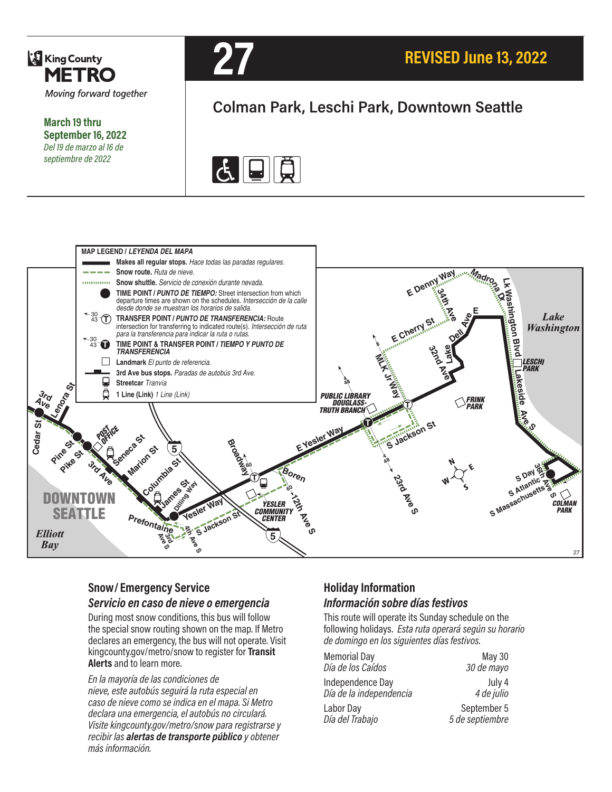

**March 19 thru September 16, 2022** *Del 19 de marzo al 16 de septiembre de 2022*



# **Colman Park, Leschi Park, Downtown Seattle**





### **Snow/ Emergency Service**  *Servicio en caso de nieve o emergencia*

During most snow conditions, this bus will follow the special snow routing shown on the map. If Metro declares an emergency, the bus will not operate. Visit kingcounty.gov/metro/snow to register for **Transit Alerts** and to learn more.

*En la mayoría de las condiciones de nieve, este autobús seguirá la ruta especial en caso de nieve como se indica en el mapa. Si Metro declara una emergencia, el autobús no circulará. Visite kingcounty.gov/metro/snow para registrarse y recibir las alertas de transporte público y obtener más información.*

### **Holiday Information** *Información sobre días festivos*

This route will operate its Sunday schedule on the following holidays. *Esta ruta operará según su horario de domingo en los siguientes días festivos.*

| <b>Memorial Day</b>     | <b>May 30</b>   |
|-------------------------|-----------------|
| Día de los Caídos       | 30 de mayo      |
| Independence Day        | July 4          |
| Día de la independencia | 4 de julio      |
| Labor Day               | September 5     |
| Día del Trabajo         | 5 de septiembre |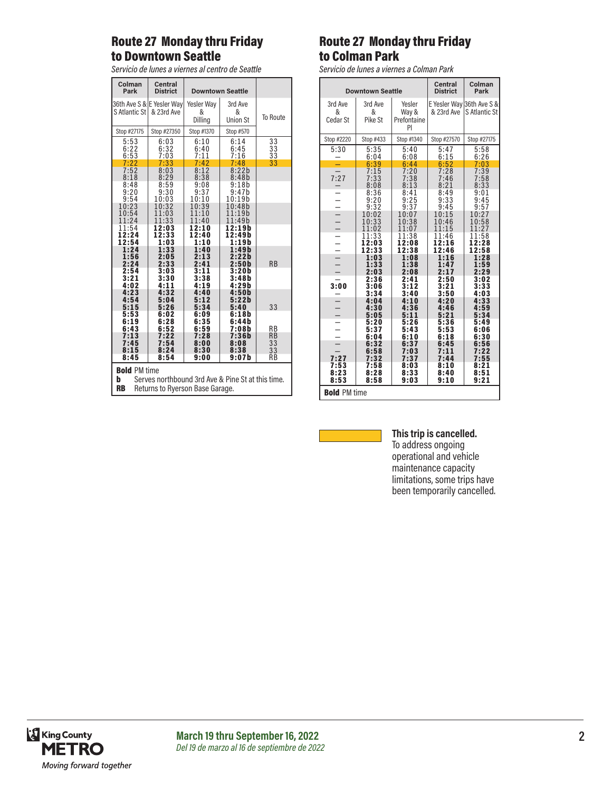### Route 27 Monday thru Friday to Downtown Seattle

*Servicio de lunes a viernes al centro de Seattle*

| Colman<br>Park       | <b>Central</b><br><b>District</b>       | <b>Downtown Seattle</b>    |                                 |                        |  |
|----------------------|-----------------------------------------|----------------------------|---------------------------------|------------------------|--|
| S Atlantic St        | 36th Ave S & E Yesler Way<br>& 23rd Ave | Yesler Way<br>&<br>Dilling | 3rd Ave<br>&<br><b>Union St</b> | To Route               |  |
| Stop #27175          | Stop #27350                             | Stop #1370                 | Stop #570                       |                        |  |
| 5:53                 | 6:03                                    | 6:10                       | 6:14                            | 33                     |  |
| 6:22                 | 6:32                                    | 6:40                       | 6:45                            | 33                     |  |
| 6:53                 | 7:03                                    | 7:11                       | 7:16                            | 33                     |  |
| 7:22                 | 7:33                                    | 7:42                       | 7:48                            | 33                     |  |
| 7:52                 | 8:03                                    | 8:12                       | 8:22b                           |                        |  |
| 8:18                 | 8:29                                    | 8:38                       | 8:48b                           |                        |  |
| 8:48                 | 8:59                                    | 9:08                       | 9:18b                           |                        |  |
| 9:20                 | 9:30                                    | 9:37                       | 9:47b                           |                        |  |
| 9:54                 | 10:03                                   | 10:10                      | 10:19h                          |                        |  |
| 10:23                | 10:32                                   | 10:39                      | 10:48b                          |                        |  |
| 10:54                | 11:03                                   | 11:10                      | 11:19b                          |                        |  |
| 11:24                | 11:33                                   | 11:40                      | 11:49b                          |                        |  |
| 11:54                | 12:03                                   | 12:10                      | 12:19 b                         |                        |  |
| 12:24                | 12:33                                   | 12:40                      | 12:49b                          |                        |  |
| 12:54                | 1:03                                    | 1:10                       | 1:19b                           |                        |  |
| 1:24                 | 1:33                                    | 1:40                       | 1:49 b                          | <b>RB</b>              |  |
| 1:56                 | 2:05                                    | 2:13                       | 2:22b                           |                        |  |
| 2:24                 | 2:33                                    | 2:41                       | 2:50 <sub>b</sub>               |                        |  |
| 2:54                 | 3:03                                    | 3:11                       | 3:20b                           |                        |  |
| 3:21                 | 3:30                                    | 3:38                       | 3:48b                           |                        |  |
| 4:02                 | 4:11                                    | 4:19                       | 4:29b                           |                        |  |
| 4:23                 | 4:32                                    | 4:40                       | 4:50b                           |                        |  |
| 4:54                 | 5:04                                    | 5:12                       | 5:22h                           | 33                     |  |
| 5:15                 | 5:26                                    | 5:34                       | 5:40                            |                        |  |
| 5:53                 | 6:02                                    | 6:09                       | 6:18b                           |                        |  |
| 6:19<br>6:43<br>7:13 | 6:28<br>6:52<br>7:22                    | 6:35<br>6:59<br>7:28       | 6:44b<br>7:08b<br>7:36b         | <b>RB</b><br><b>RB</b> |  |
| 7:45                 | 7:54                                    | 8:00                       | 8:08                            | 33                     |  |
| 8:15                 | 8:24                                    | 8:30                       | 8:38                            | 33                     |  |
| 8:45                 | 8:54                                    | 9:00                       | 9:07 b                          | RB                     |  |
|                      | <b>Bold PM time</b>                     |                            |                                 |                        |  |

**b** Serves northbound 3rd Ave & Pine St at this time. **RB** Returns to Ryerson Base Garage.

### Route 27 Monday thru Friday to Colman Park

*Servicio de lunes a viernes a Colman Park*

| <b>Downtown Seattle</b>                    |                         | Central<br><b>District</b>           | Colman<br>Park                |                                            |
|--------------------------------------------|-------------------------|--------------------------------------|-------------------------------|--------------------------------------------|
| 3rd Ave<br>&<br>Cedar St                   | 3rd Ave<br>&<br>Pike St | Yesler<br>Way &<br>Prefontaine<br>PI | & 23rd Ave                    | E Yesler Way 36th Ave S &<br>S Atlantic St |
| Stop #2220                                 | Stop #433               | Stop #1340                           | Stop #27570                   | Stop #27175                                |
| 5:30                                       | 5:35<br>6:04            | 5:40<br>6:08                         | 5:47<br>6:15                  | 5:58<br>6:26                               |
|                                            | 6:39                    | 6:44                                 | 6:52                          | 7:03                                       |
| 7:27                                       | 7:15<br>7:33<br>8:08    | 7:20<br>7:38<br>8:13                 | 7:28<br>7:46<br>8:21          | 7:39<br>7:58<br>8:33                       |
| $\overline{\phantom{0}}$<br>$\overline{a}$ | 8:36<br>9:20<br>9:32    | 8:41<br>9:25<br>9:37                 | 8:49<br>9:33<br>9:45<br>10:15 | 9:01<br>9:45<br>9:57                       |
| ÷                                          | 10:02<br>10:33<br>11:02 | 10:07<br>10:38<br>11:07              | 10:46<br>11:15                | 10:27<br>10:58<br>11:27                    |
| $\overline{\phantom{0}}$<br>$\overline{a}$ | 11:33<br>12:03<br>12:33 | 11:38<br>12:08<br>12:38              | 11:46<br>12:16<br>12:46       | 11:58<br>12:28<br>12:58                    |
|                                            | 1:03<br>1:33<br>2:03    | 1:08<br>1:38<br>2:08                 | 1:16<br>1:47<br>2:17          | 1:28<br>1:59<br>2:29                       |
| 3:00                                       | 2:36<br>3:06<br>3:34    | 2:41<br>3:12<br>3:40                 | 2:50<br>3:21<br>3:50          | 3:02<br>3:33<br>4:03                       |
| $\overline{a}$<br>-                        | 4:04<br>4:30<br>5:05    | 4:10<br>4:36<br>5:11                 | 4:20<br>4:46<br>5:21          | 4:33<br>4:59<br>5:34                       |
|                                            | 5:20<br>5:37<br>6:04    | 5:26<br>5:43<br>6:10                 | 5:36<br>5:53<br>6:18          | 5:49<br>6:06<br>6:30                       |
| ۰<br>7:27                                  | 6:32<br>6:58<br>7:32    | 6:37<br>7:03<br>7:37                 | 6:45<br>7:11<br>7:44          | 6:56<br>7:22<br>7:55                       |
| 7:53<br>8:23<br>8:53                       | 7:58<br>8:28<br>8:58    | 8:03<br>8:33<br>9:03                 | 8:10<br>8:40<br>9:10          | 8:21<br>8:51<br>9:21                       |
| <b>Bold PM time</b>                        |                         |                                      |                               |                                            |



#### **This trip is cancelled.**

To address ongoing operational and vehicle maintenance capacity limitations, some trips have been temporarily cancelled.